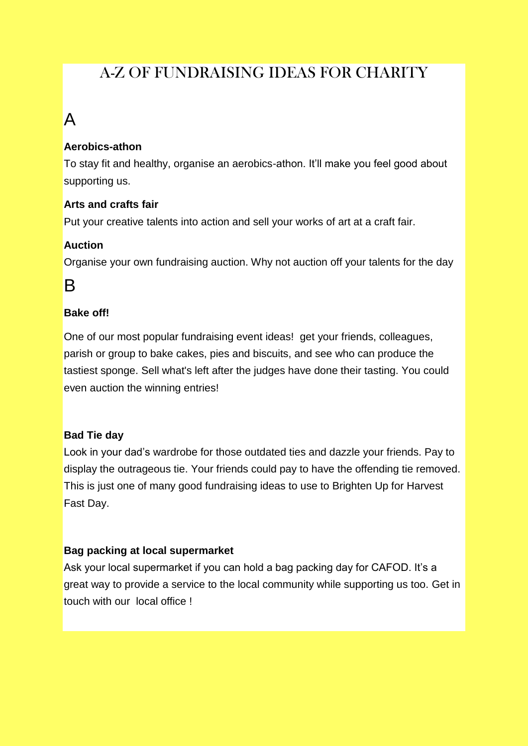### [A-Z OF FUNDRAISING IDEAS FOR CHARITY](http://cafod.org.uk/Fundraise/A-Z-of-fundraising-ideas)

## A

#### **Aerobics-athon**

To stay fit and healthy, organise an aerobics-athon. It"ll make you feel good about supporting us.

#### **Arts and crafts fair**

Put your creative talents into action and sell your works of art at a craft fair.

#### **Auction**

Organise your own fundraising auction. Why not auction off your talents for the day

### B

#### **Bake off!**

One of our most popular fundraising event ideas! get your friends, colleagues, parish or group to bake cakes, pies and biscuits, and see who can produce the tastiest sponge. Sell what's left after the judges have done their tasting. You could even auction the winning entries!

#### **Bad Tie day**

Look in your dad"s wardrobe for those outdated ties and dazzle your friends. Pay to display the outrageous tie. Your friends could pay to have the offending tie removed. This is just one of many good fundraising ideas to use to Brighten Up for Harvest Fast Day.

#### **Bag packing at local supermarket**

Ask your local supermarket if you can hold a bag packing day for CAFOD. It"s a great way to provide a service to the local community while supporting us too. Get in touch with our local office !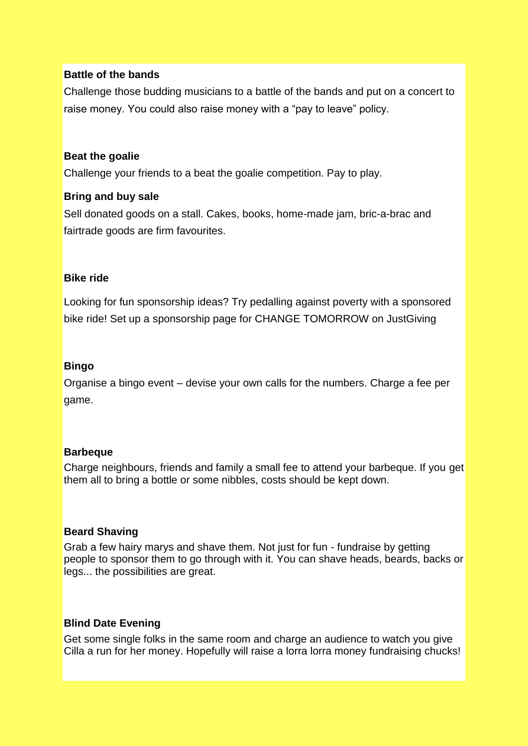#### **Battle of the bands**

Challenge those budding musicians to a battle of the bands and put on a concert to raise money. You could also raise money with a "pay to leave" policy.

#### **Beat the goalie**

Challenge your friends to a beat the goalie competition. Pay to play.

#### **Bring and buy sale**

Sell donated goods on a stall. Cakes, books, home-made jam, bric-a-brac and fairtrade goods are firm favourites.

#### **Bike ride**

Looking for fun sponsorship ideas? Try pedalling against poverty with a sponsored bike ride! Set up a [sponsorship page for CHANGE TOMORROW on JustGiving](https://www.justgiving.com/CAFOD/)

#### **Bingo**

Organise a bingo event – devise your own calls for the numbers. Charge a fee per game.

#### **Barbeque**

Charge neighbours, friends and family a small fee to attend your barbeque. If you get them all to bring a bottle or some nibbles, costs should be kept down.

#### **Beard Shaving**

Grab a few hairy marys and shave them. Not just for fun - fundraise by getting people to sponsor them to go through with it. You can shave heads, beards, backs or legs... the possibilities are great.

#### **Blind Date Evening**

Get some single folks in the same room and charge an audience to watch you give Cilla a run for her money. Hopefully will raise a lorra lorra money fundraising chucks!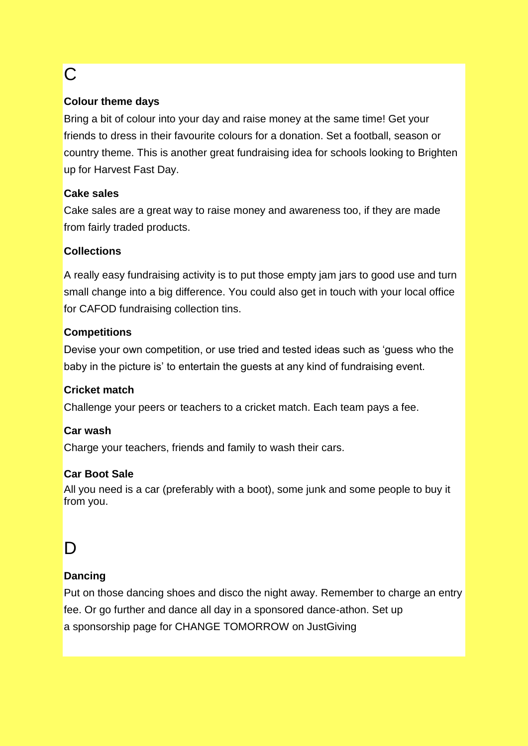# C

#### **Colour theme days**

Bring a bit of colour into your day and raise money at the same time! Get your friends to dress in their favourite colours for a donation. Set a football, season or country theme. This is another great fundraising idea for schools looking to Brighten up for Harvest Fast Day.

#### **Cake sales**

Cake sales are a great way to raise money and awareness too, if they are made from fairly traded products.

#### **Collections**

A really easy fundraising activity is to put those empty jam jars to good use and turn small change into a big difference. You could also get in touch with your local office for [CAFOD fundraising collection tins.](http://cafod.org.uk/Volunteer/CAFOD-in-your-area)

#### **Competitions**

Devise your own competition, or use tried and tested ideas such as "guess who the baby in the picture is' to entertain the guests at any kind of fundraising event.

#### **Cricket match**

Challenge your peers or teachers to a cricket match. Each team pays a fee.

#### **Car wash**

Charge your teachers, friends and family to wash their cars.

#### **Car Boot Sale**

All you need is a car (preferably with a boot), some junk and some people to buy it from you.

## D

#### **Dancing**

Put on those dancing shoes and disco the night away. Remember to charge an entry fee. Or go further and dance all day in a sponsored dance-athon. Set up a [sponsorship page for CHANGE TOMORROW](https://www.justgiving.com/CAFOD/) on JustGiving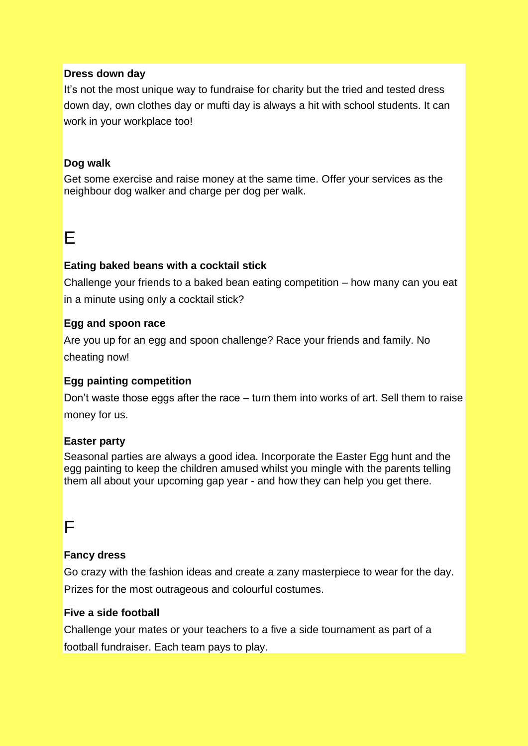#### **Dress down day**

It's not the most unique way to fundraise for charity but the tried and tested dress down day, own clothes day or mufti day is always a hit with school students. It can work in your workplace too!

#### **Dog walk**

Get some exercise and raise money at the same time. Offer your services as the neighbour dog walker and charge per dog per walk.

### E

#### **Eating baked beans with a cocktail stick**

Challenge your friends to a baked bean eating competition – how many can you eat in a minute using only a cocktail stick?

#### **Egg and spoon race**

Are you up for an egg and spoon challenge? Race your friends and family. No cheating now!

#### **Egg painting competition**

Don"t waste those eggs after the race – turn them into works of art. Sell them to raise money for us.

#### **Easter party**

Seasonal parties are always a good idea. Incorporate the Easter Egg hunt and the egg painting to keep the children amused whilst you mingle with the parents telling them all about your upcoming gap year - and how they can help you get there.

### F

#### **Fancy dress**

Go crazy with the fashion ideas and create a zany masterpiece to wear for the day. Prizes for the most outrageous and colourful costumes.

#### **Five a side football**

Challenge your mates or your teachers to a five a side tournament as part of a football fundraiser. Each team pays to play.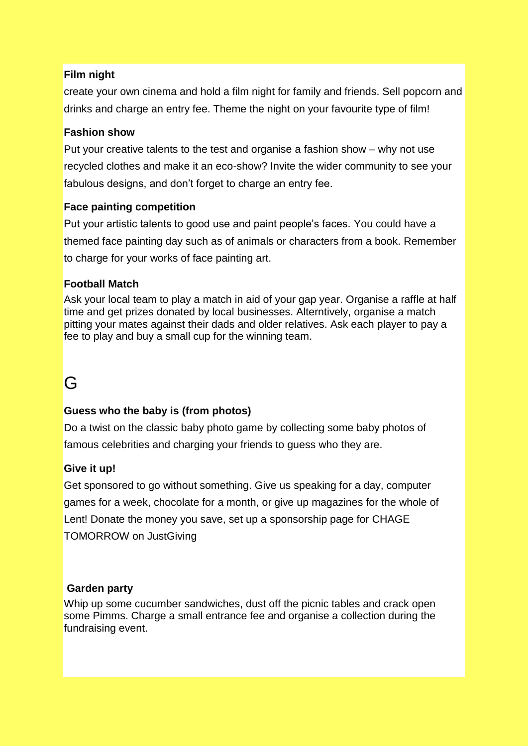#### **Film night**

create your own cinema and hold a film night for family and friends. Sell popcorn and drinks and charge an entry fee. Theme the night on your favourite type of film!

#### **Fashion show**

Put your creative talents to the test and organise a fashion show – why not use recycled clothes and make it an eco-show? Invite the wider community to see your fabulous designs, and don"t forget to charge an entry fee.

#### **Face painting competition**

Put your artistic talents to good use and paint people"s faces. You could have a themed face painting day such as of animals or characters from a book. Remember to charge for your works of face painting art.

#### **Football Match**

Ask your local team to play a match in aid of your gap year. Organise a raffle at half time and get prizes donated by local businesses. Alterntively, organise a match pitting your mates against their dads and older relatives. Ask each player to pay a fee to play and buy a small cup for the winning team.

### G

#### **Guess who the baby is (from photos)**

Do a twist on the classic baby photo game by collecting some baby photos of famous celebrities and charging your friends to guess who they are.

#### **Give it up!**

Get sponsored to go without something. Give us speaking for a day, computer games for a week, chocolate for a month, or give up magazines for the whole of Lent! [Donate](http://cafod.org.uk/Give) the money you save, set up a [sponsorship page for CHAGE](https://www.justgiving.com/CAFOD/)  [TOMORROW](https://www.justgiving.com/CAFOD/) on JustGiving

#### **Garden party**

Whip up some cucumber sandwiches, dust off the picnic tables and crack open some Pimms. Charge a small entrance fee and organise a collection during the fundraising event.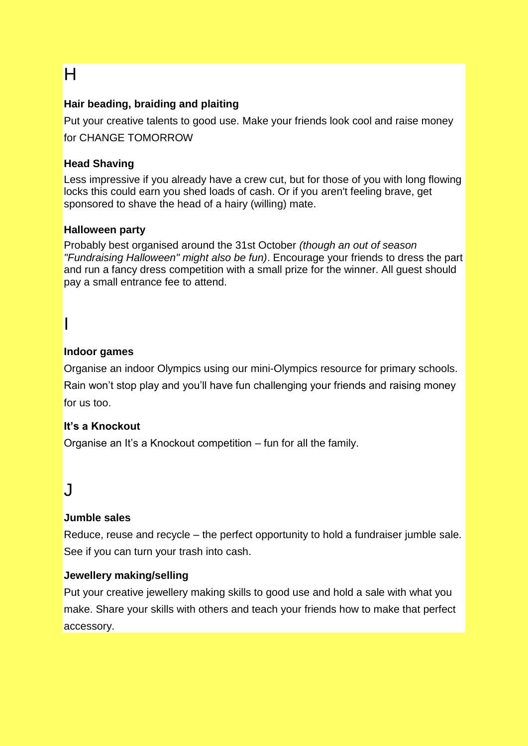# H

#### **Hair beading, braiding and plaiting**

Put your creative talents to good use. Make your friends look cool and raise money for CHANGE TOMORROW

#### **Head Shaving**

Less impressive if you already have a crew cut, but for those of you with long flowing locks this could earn you shed loads of cash. Or if you aren't feeling brave, get sponsored to shave the head of a hairy (willing) mate.

#### **Halloween party**

Probably best organised around the 31st October *(though an out of season "Fundraising Halloween" might also be fun)*. Encourage your friends to dress the part and run a fancy dress competition with a small prize for the winner. All guest should pay a small entrance fee to attend.

# I

#### **Indoor games**

Organise an indoor Olympics using our [mini-Olympics resource for primary schools.](http://cafod.org.uk/content/download/5490/43194/version/2/file/Mini_Olympics.pdf) Rain won"t stop play and you"ll have fun challenging your friends and raising money for us too.

#### **It's a Knockout**

Organise an It"s a Knockout competition – fun for all the family.

### J

#### **Jumble sales**

Reduce, reuse and recycle – the perfect opportunity to hold a fundraiser jumble sale. See if you can turn your [trash into cash.](http://cafod.org.uk/Give/Trash-for-cash)

#### **Jewellery making/selling**

Put your creative jewellery making skills to good use and hold a sale with what you make. Share your skills with others and teach your friends how to make that perfect accessory.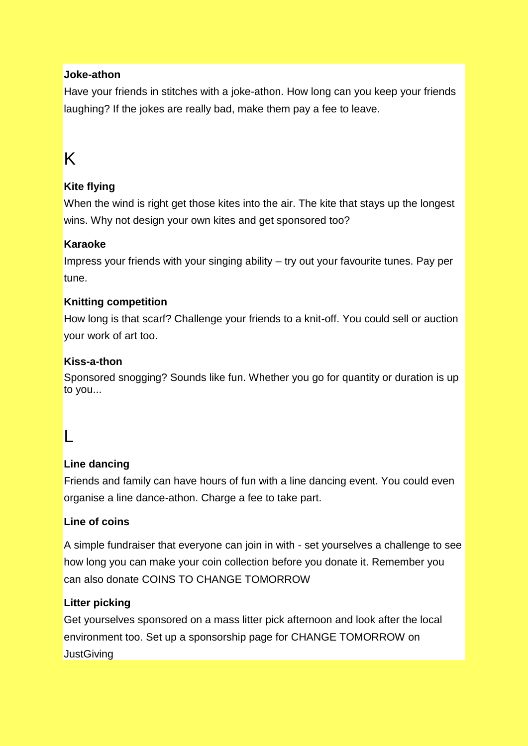#### **Joke-athon**

Have your friends in stitches with a joke-athon. How long can you keep your friends laughing? If the jokes are really bad, make them pay a fee to leave.

# K

#### **Kite flying**

When the wind is right get those kites into the air. The kite that stays up the longest wins. Why not design your own kites and get sponsored too?

#### **Karaoke**

Impress your friends with your singing ability – try out your favourite tunes. Pay per tune.

#### **Knitting competition**

How long is that scarf? Challenge your friends to a knit-off. You could sell or auction your work of art too.

#### **Kiss-a-thon**

Sponsored snogging? Sounds like fun. Whether you go for quantity or duration is up to you...

### L

#### **Line dancing**

Friends and family can have hours of fun with a line dancing event. You could even organise a line dance-athon. Charge a fee to take part.

#### **Line of coins**

A simple fundraiser that everyone can join in with - set yourselves a challenge to see how long you can make your coin collection before you donate it. Remember you can also donate COINS TO CHANGE TOMORROW

#### **Litter picking**

Get yourselves sponsored on a mass litter pick afternoon and look after the local environment too. Set up a [sponsorship page for CHANGE TOMORROW](https://www.justgiving.com/CAFOD/) on **[JustGiving](https://www.justgiving.com/CAFOD/)**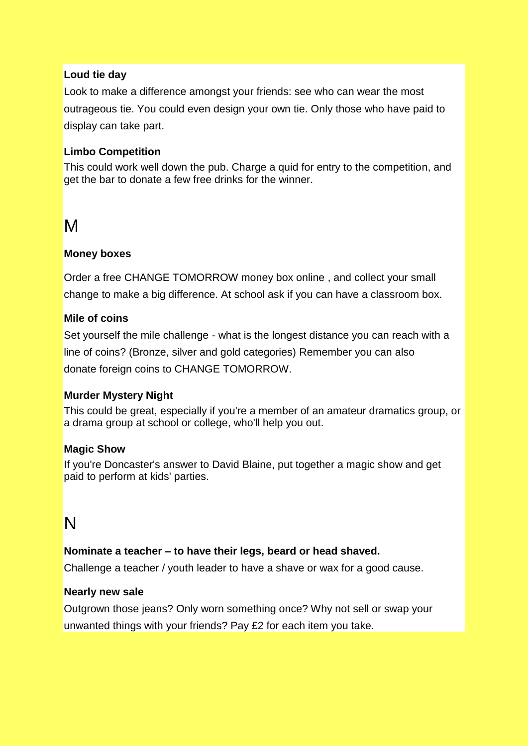#### **Loud tie day**

Look to make a difference amongst your friends: see who can wear the most outrageous tie. You could even design your own tie. Only those who have paid to display can take part.

#### **Limbo Competition**

This could work well down the pub. Charge a quid for entry to the competition, and get the bar to donate a few free drinks for the winner.

### M

#### **Money boxes**

[Order a free CHANGE TOMORROW](http://shop.cafod.org.uk/mall/productpage.cfm/CAFODShop/_CAF3343/479174/Pyramid-Collection-box) money box online , and collect your small change to make a big difference. At school ask if you can have a classroom box.

#### **Mile of coins**

Set yourself the mile challenge - what is the longest distance you can reach with a line of coins? (Bronze, silver and gold categories) Remember you can also donate [foreign coins to CHANGE](http://cafod.org.uk/Give/Trash-for-cash) TOMORROW.

#### **Murder Mystery Night**

This could be great, especially if you're a member of an amateur dramatics group, or a drama group at school or college, who'll help you out.

#### **Magic Show**

If you're Doncaster's answer to David Blaine, put together a magic show and get paid to perform at kids' parties.

### N

#### **Nominate a teacher – to have their legs, beard or head shaved.**

Challenge a teacher / youth leader to have a shave or wax for a good cause.

#### **Nearly new sale**

Outgrown those jeans? Only worn something once? Why not sell or swap your unwanted things with your friends? Pay £2 for each item you take.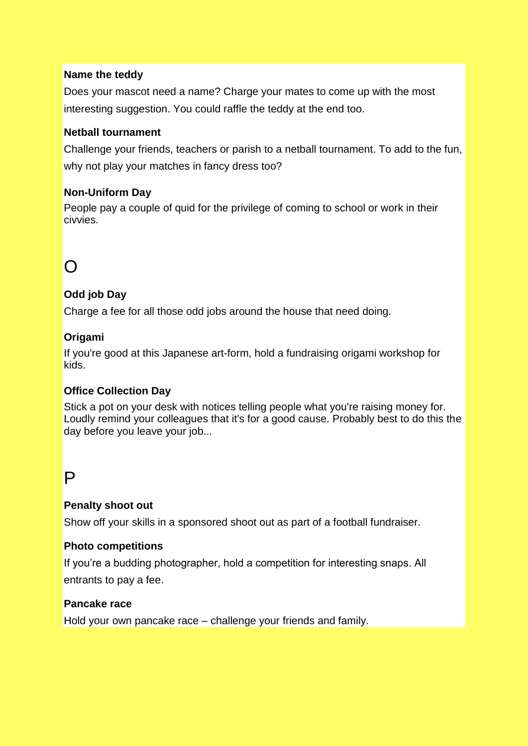#### **Name the teddy**

Does your mascot need a name? Charge your mates to come up with the most interesting suggestion. You could raffle the teddy at the end too.

#### **Netball tournament**

Challenge your friends, teachers or parish to a netball tournament. To add to the fun, why not play your matches in fancy dress too?

#### **Non-Uniform Day**

People pay a couple of quid for the privilege of coming to school or work in their civvies.

# $\Omega$

#### **Odd job Day**

Charge a fee for all those odd jobs around the house that need doing.

#### **Origami**

If you're good at this Japanese art-form, hold a fundraising origami workshop for kids.

#### **Office Collection Day**

Stick a pot on your desk with notices telling people what you're raising money for. Loudly remind your colleagues that it's for a good cause. Probably best to do this the day before you leave your job...

### P

#### **Penalty shoot out**

Show off your skills in a sponsored shoot out as part of a football fundraiser.

#### **Photo competitions**

If you"re a budding photographer, hold a competition for interesting snaps. All entrants to pay a fee.

#### **Pancake race**

Hold your own pancake race – challenge your friends and family.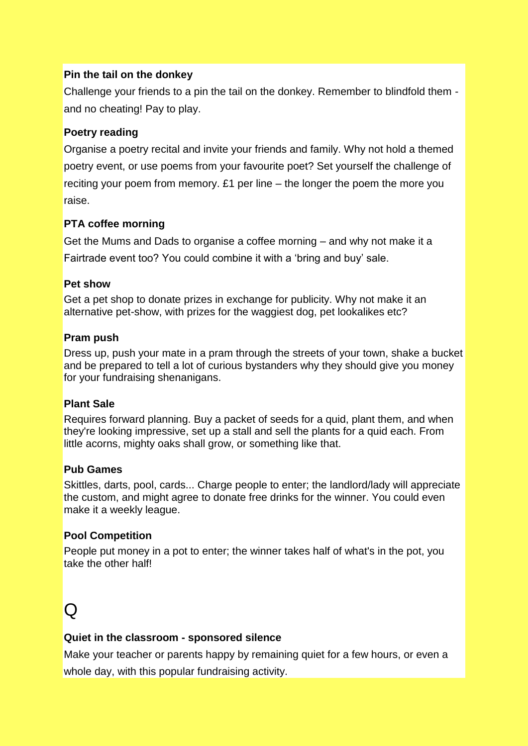#### **Pin the tail on the donkey**

Challenge your friends to a pin the tail on the donkey. Remember to blindfold them and no cheating! Pay to play.

#### **Poetry reading**

Organise a poetry recital and invite your friends and family. Why not hold a themed poetry event, or use poems from your favourite poet? Set yourself the challenge of reciting your poem from memory. £1 per line – the longer the poem the more you raise.

#### **PTA coffee morning**

Get the Mums and Dads to organise a coffee morning – and why not make it a Fairtrade event too? You could combine it with a "bring and buy" sale.

#### **Pet show**

Get a pet shop to donate prizes in exchange for publicity. Why not make it an alternative pet-show, with prizes for the waggiest dog, pet lookalikes etc?

#### **Pram push**

Dress up, push your mate in a pram through the streets of your town, shake a bucket and be prepared to tell a lot of curious bystanders why they should give you money for your fundraising shenanigans.

#### **Plant Sale**

Requires forward planning. Buy a packet of seeds for a quid, plant them, and when they're looking impressive, set up a stall and sell the plants for a quid each. From little acorns, mighty oaks shall grow, or something like that.

#### **Pub Games**

Skittles, darts, pool, cards... Charge people to enter; the landlord/lady will appreciate the custom, and might agree to donate free drinks for the winner. You could even make it a weekly league.

#### **Pool Competition**

People put money in a pot to enter; the winner takes half of what's in the pot, you take the other half!

# $\Omega$

#### **Quiet in the classroom - sponsored silence**

Make your teacher or parents happy by remaining quiet for a few hours, or even a whole day, with this popular fundraising activity.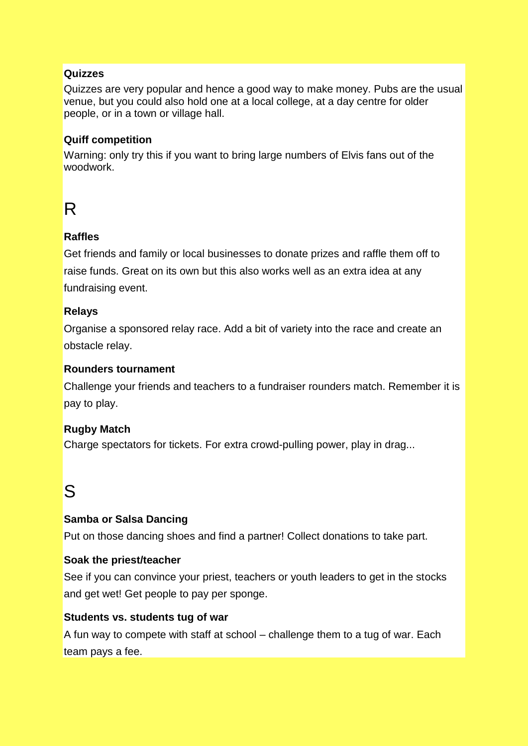#### **Quizzes**

Quizzes are very popular and hence a good way to make money. Pubs are the usual venue, but you could also hold one at a local college, at a day centre for older people, or in a town or village hall.

#### **Quiff competition**

Warning: only try this if you want to bring large numbers of Elvis fans out of the woodwork.

# R

#### **Raffles**

Get friends and family or local businesses to donate prizes and raffle them off to raise funds. Great on its own but this also works well as an extra idea at any fundraising event.

#### **Relays**

Organise a sponsored relay race. Add a bit of variety into the race and create an obstacle relay.

#### **Rounders tournament**

Challenge your friends and teachers to a fundraiser rounders match. Remember it is pay to play.

#### **Rugby Match**

Charge spectators for tickets. For extra crowd-pulling power, play in drag...

## S

#### **Samba or Salsa Dancing**

Put on those dancing shoes and find a partner! Collect donations to take part.

#### **Soak the priest/teacher**

See if you can convince your priest, teachers or youth leaders to get in the stocks and get wet! Get people to pay per sponge.

#### **Students vs. students tug of war**

A fun way to compete with staff at school – challenge them to a tug of war. Each team pays a fee.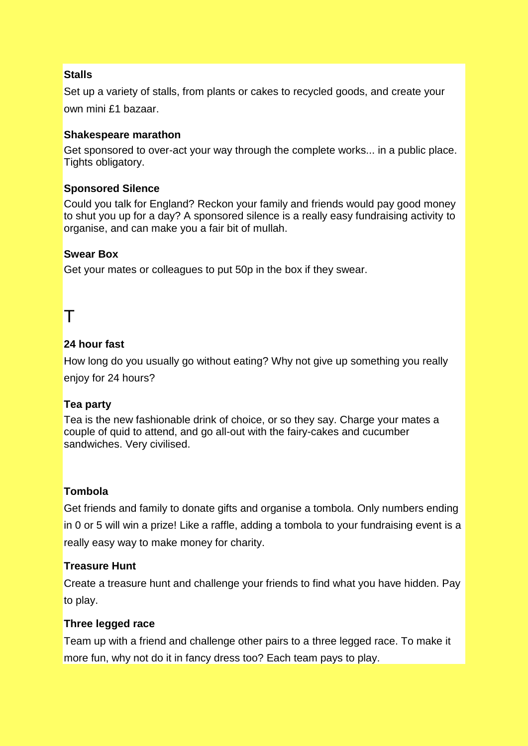#### **Stalls**

Set up a variety of stalls, from plants or cakes to recycled goods, and create your own mini £1 bazaar.

#### **Shakespeare marathon**

Get sponsored to over-act your way through the complete works... in a public place. Tights obligatory.

#### **Sponsored Silence**

Could you talk for England? Reckon your family and friends would pay good money to shut you up for a day? A sponsored silence is a really easy fundraising activity to organise, and can make you a fair bit of mullah.

#### **Swear Box**

Get your mates or colleagues to put 50p in the box if they swear.

### T

#### **24 hour fast**

How long do you usually go without eating? Why not give up something you really enjoy for 24 hours?

#### **Tea party**

Tea is the new fashionable drink of choice, or so they say. Charge your mates a couple of quid to attend, and go all-out with the fairy-cakes and cucumber sandwiches. Very civilised.

#### **Tombola**

Get friends and family to donate gifts and organise a tombola. Only numbers ending in 0 or 5 will win a prize! Like a raffle, adding a tombola to your fundraising event is a really easy way to make money for charity.

#### **Treasure Hunt**

Create a treasure hunt and challenge your friends to find what you have hidden. Pay to play.

#### **Three legged race**

Team up with a friend and challenge other pairs to a three legged race. To make it more fun, why not do it in fancy dress too? Each team pays to play.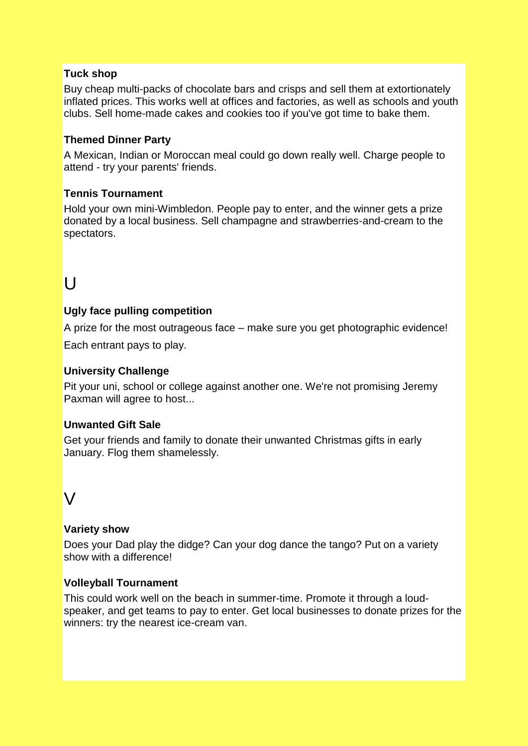#### **Tuck shop**

Buy cheap multi-packs of chocolate bars and crisps and sell them at extortionately inflated prices. This works well at offices and factories, as well as schools and youth clubs. Sell home-made cakes and cookies too if you've got time to bake them.

#### **Themed Dinner Party**

A Mexican, Indian or Moroccan meal could go down really well. Charge people to attend - try your parents' friends.

#### **Tennis Tournament**

Hold your own mini-Wimbledon. People pay to enter, and the winner gets a prize donated by a local business. Sell champagne and strawberries-and-cream to the spectators.

# $\mathsf{U}$

#### **Ugly face pulling competition**

A prize for the most outrageous face – make sure you get photographic evidence! Each entrant pays to play.

#### **University Challenge**

Pit your uni, school or college against another one. We're not promising Jeremy Paxman will agree to host...

#### **Unwanted Gift Sale**

Get your friends and family to donate their unwanted Christmas gifts in early January. Flog them shamelessly.

### $\mathsf{V}$

#### **Variety show**

Does your Dad play the didge? Can your dog dance the tango? Put on a variety show with a difference!

#### **Volleyball Tournament**

This could work well on the beach in summer-time. Promote it through a loudspeaker, and get teams to pay to enter. Get local businesses to donate prizes for the winners: try the nearest ice-cream van.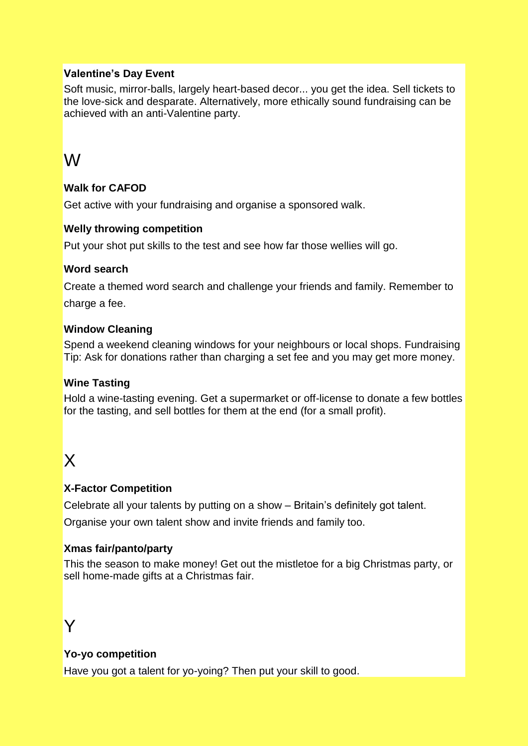#### **Valentine's Day Event**

Soft music, mirror-balls, largely heart-based decor... you get the idea. Sell tickets to the love-sick and desparate. Alternatively, more ethically sound fundraising can be achieved with an anti-Valentine party.

### W

#### **Walk for CAFOD**

Get active with your fundraising and organise a sponsored walk.

#### **Welly throwing competition**

Put your shot put skills to the test and see how far those wellies will go.

#### **Word search**

Create a themed word search and challenge your friends and family. Remember to charge a fee.

#### **Window Cleaning**

Spend a weekend cleaning windows for your neighbours or local shops. Fundraising Tip: Ask for donations rather than charging a set fee and you may get more money.

#### **Wine Tasting**

Hold a wine-tasting evening. Get a supermarket or off-license to donate a few bottles for the tasting, and sell bottles for them at the end (for a small profit).

## X

#### **X-Factor Competition**

Celebrate all your talents by putting on a show – Britain"s definitely got talent.

Organise your own talent show and invite friends and family too.

#### **Xmas fair/panto/party**

This the season to make money! Get out the mistletoe for a big Christmas party, or sell home-made gifts at a Christmas fair.

### Y

#### **Yo-yo competition**

Have you got a talent for yo-yoing? Then put your skill to good.